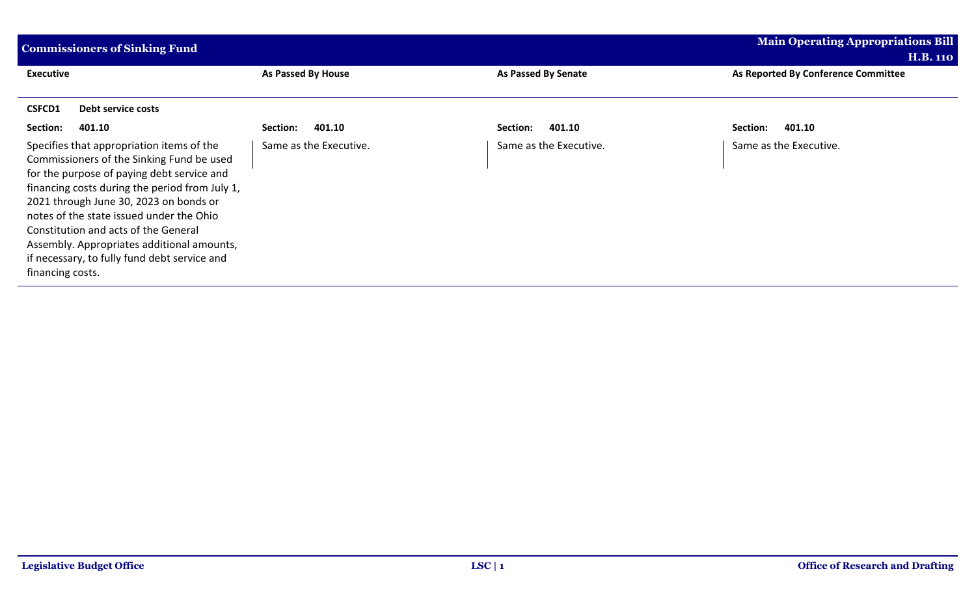| <b>Commissioners of Sinking Fund</b>                                                                                                                                                                                                                                                                                                                                                                                                   |                           |                            | <b>Main Operating Appropriations Bill</b> |
|----------------------------------------------------------------------------------------------------------------------------------------------------------------------------------------------------------------------------------------------------------------------------------------------------------------------------------------------------------------------------------------------------------------------------------------|---------------------------|----------------------------|-------------------------------------------|
|                                                                                                                                                                                                                                                                                                                                                                                                                                        |                           |                            | <b>H.B. 110</b>                           |
| <b>Executive</b>                                                                                                                                                                                                                                                                                                                                                                                                                       | <b>As Passed By House</b> | <b>As Passed By Senate</b> | As Reported By Conference Committee       |
| <b>CSFCD1</b><br>Debt service costs                                                                                                                                                                                                                                                                                                                                                                                                    |                           |                            |                                           |
| Section:<br>401.10                                                                                                                                                                                                                                                                                                                                                                                                                     | 401.10<br>Section:        | 401.10<br>Section:         | Section:<br>401.10                        |
| Specifies that appropriation items of the<br>Commissioners of the Sinking Fund be used<br>for the purpose of paying debt service and<br>financing costs during the period from July 1,<br>2021 through June 30, 2023 on bonds or<br>notes of the state issued under the Ohio<br>Constitution and acts of the General<br>Assembly. Appropriates additional amounts,<br>if necessary, to fully fund debt service and<br>financing costs. | Same as the Executive.    | Same as the Executive.     | Same as the Executive.                    |